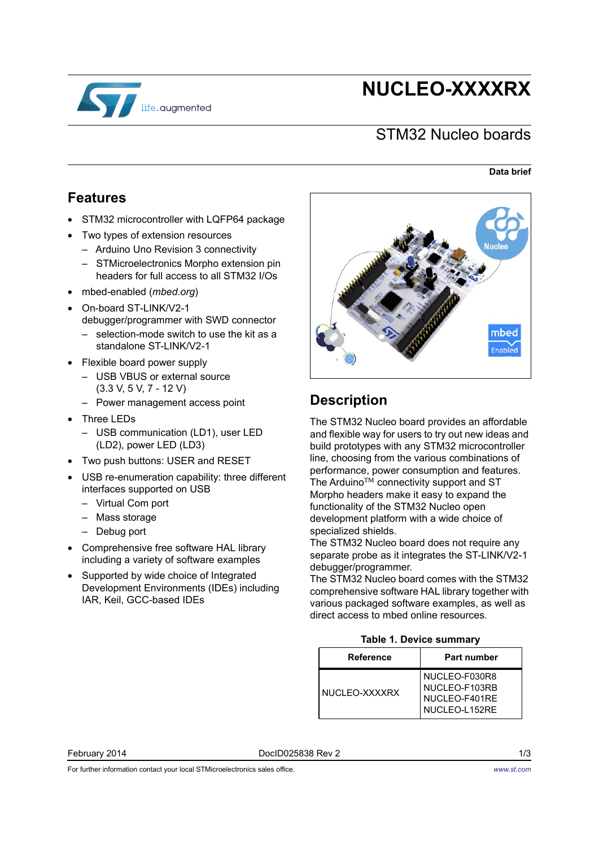

# **NUCLEO-XXXXRX**

### STM32 Nucleo boards

#### **Data brief**

### **Features**

- STM32 microcontroller with LQFP64 package
- Two types of extension resources
	- Arduino Uno Revision 3 connectivity
	- STMicroelectronics Morpho extension pin headers for full access to all STM32 I/Os
- mbed-enabled (*mbed.org*)
- On-board ST-LINK/V2-1 debugger/programmer with SWD connector – selection-mode switch to use the kit as a
	- standalone ST-LINK/V2-1
- Flexible board power supply
	- USB VBUS or external source (3.3 V, 5 V, 7 - 12 V)
	- Power management access point
- Three LEDs
	- USB communication (LD1), user LED (LD2), power LED (LD3)
- Two push buttons: USER and RESET
- USB re-enumeration capability: three different interfaces supported on USB
	- Virtual Com port
	- Mass storage
	- Debug port
- Comprehensive free software HAL library including a variety of software examples
- Supported by wide choice of Integrated Development Environments (IDEs) including IAR, Keil, GCC-based IDEs



## **Description**

The STM32 Nucleo board provides an affordable and flexible way for users to try out new ideas and build prototypes with any STM32 microcontroller line, choosing from the various combinations of performance, power consumption and features. The Arduino™ connectivity support and ST Morpho headers make it easy to expand the functionality of the STM32 Nucleo open development platform with a wide choice of specialized shields.

The STM32 Nucleo board does not require any separate probe as it integrates the ST-LINK/V2-1 debugger/programmer.

The STM32 Nucleo board comes with the STM32 comprehensive software HAL library together with various packaged software examples, as well as direct access to mbed online resources.

#### **Table 1. Device summary**

<span id="page-0-0"></span>

| Reference     | Part number                                                      |
|---------------|------------------------------------------------------------------|
| NUCLEO-XXXXRX | NUCLEO-F030R8<br>NUCLEO-F103RB<br>NUCLEO-F401RE<br>NUCLEO-L152RE |

February 2014 DocID025838 Rev 2 1/3

*[www.st.com](http://www.st.com)*

For further information contact your local STMicroelectronics sales office.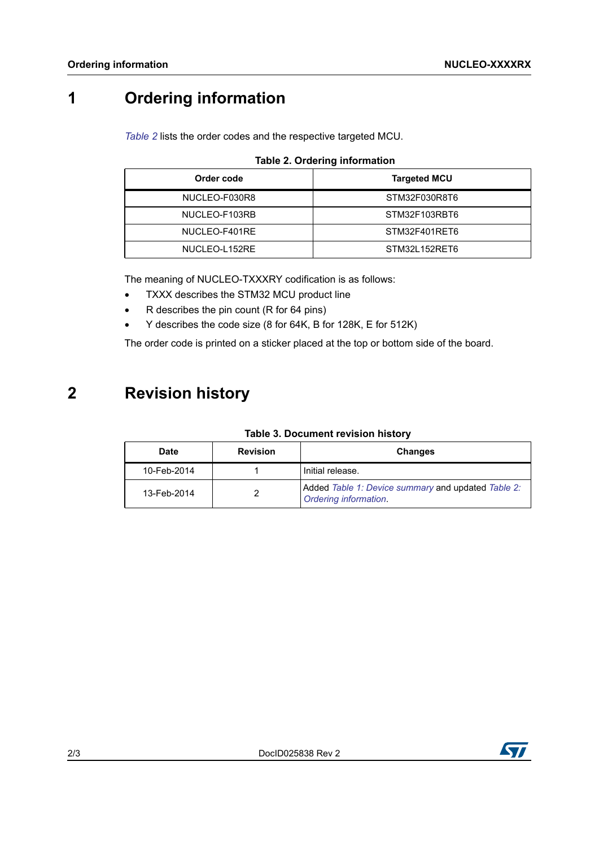## **1 Ordering information**

*[Table 2](#page-1-0)* lists the order codes and the respective targeted MCU.

|  |  |  | <b>Table 2. Ordering information</b> |
|--|--|--|--------------------------------------|
|--|--|--|--------------------------------------|

<span id="page-1-0"></span>

| Order code    | <b>Targeted MCU</b> |
|---------------|---------------------|
| NUCLEO-F030R8 | STM32F030R8T6       |
| NUCLEO-F103RB | STM32F103RBT6       |
| NUCLEO-F401RE | STM32F401RET6       |
| NUCLEO-L152RE | STM32L152RET6       |

The meaning of NUCLEO-TXXXRY codification is as follows:

- TXXX describes the STM32 MCU product line
- R describes the pin count (R for 64 pins)
- Y describes the code size (8 for 64K, B for 128K, E for 512K)

The order code is printed on a sticker placed at the top or bottom side of the board.

## **2 Revision history**

| <b>Date</b> | <b>Revision</b> | <b>Changes</b>                                                              |
|-------------|-----------------|-----------------------------------------------------------------------------|
| 10-Feb-2014 |                 | Initial release.                                                            |
| 13-Feb-2014 |                 | Added Table 1: Device summary and updated Table 2:<br>Ordering information. |

#### **Table 3. Document revision history**